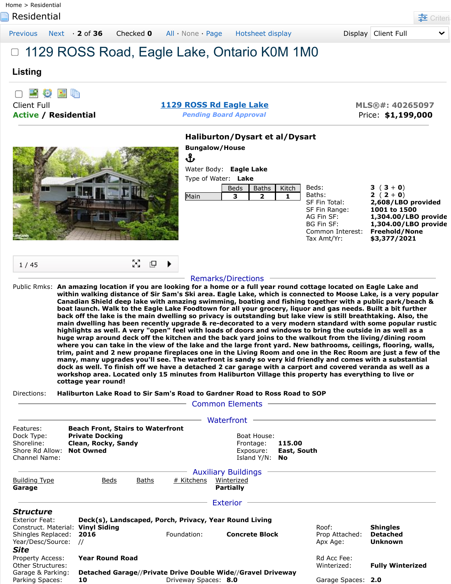**Residential [Criteria](javascript:__doPostBack() Criteria Criteria Criteria Criteria Criteria Criteria Criteria Criteria Criteria** [Previous](javascript:__doPostBack() [Next](javascript:__doPostBack() · **2** of **36** Checked **0** [All](javascript:void(0)) · [None](javascript:void(0)) · [Page](javascript:void(0);) [Hotsheet display](javascript:__doPostBack() Display Client Full 1129 ROSS Road, Eagle Lake, Ontario K0M 1M0 **Listing** 口磨砂圆面 Client Full **[1129 ROSS Rd](javascript:Dpy.mapPopup() Eagle Lake MLS®#: 40265097 Active / Residential** *Pending Board Approval* Price: **\$1,199,000 Haliburton/Dysart et al/Dysart Bungalow/House** Ֆ Water Body: **Eagle Lake** Type of Water: **Lake** Beds: **3**  $(3 + 0)$ Beds  $\parallel$  Baths  $\parallel$  Kitch Baths: **2** ( **2** + **0**) Main **3 2 1** SF Fin Total: **2,608/LBO provided** SF Fin Range: **1001 to 1500** AG Fin SF: **1,304.00/LBO provide** BG Fin SF: **1,304.00/LBO provide** Common Interest: **Freehold/None** Tax Amt/Yr: **\$3,377/2021** ∑a<br>Ka 吗 1 / 45 Remarks/Directions Public Rmks: **An amazing location if you are looking for a home or a full year round cottage located on Eagle Lake and within walking distance of Sir Sam's Ski area. Eagle Lake, which is connected to Moose Lake, is a very popular Canadian Shield deep lake with amazing swimming, boating and fishing together with a public park/beach & boat launch. Walk to the Eagle Lake Foodtown for all your grocery, liquor and gas needs. Built a bit further back off the lake is the main dwelling so privacy is outstanding but lake view is still breathtaking. Also, the main dwelling has been recently upgrade & re-decorated to a very modern standard with some popular rustic highlights as well. A very "open" feel with loads of doors and windows to bring the outside in as well as a huge wrap around deck off the kitchen and the back yard joins to the walkout from the living/dining room where you can take in the view of the lake and the large front yard. New bathrooms, ceilings, flooring, walls, trim, paint and 2 new propane fireplaces one in the Living Room and one in the Rec Room are just a few of the**

**many, many upgrades you'll see. The waterfront is sandy so very kid friendly and comes with a substantial dock as well. To finish off we have a detached 2 car garage with a carport and covered veranda as well as a workshop area. Located only 15 minutes from Haliburton Village this property has everything to live or cottage year round!**

Directions: **Haliburton Lake Road to Sir Sam's Road to Gardner Road to Ross Road to SOP**

|                                                                                  |                                                                                                               |                      | <b>Common Elements</b>                                       |                              |                            |                                   |
|----------------------------------------------------------------------------------|---------------------------------------------------------------------------------------------------------------|----------------------|--------------------------------------------------------------|------------------------------|----------------------------|-----------------------------------|
|                                                                                  |                                                                                                               |                      | Waterfront                                                   |                              |                            |                                   |
| Features:<br>Dock Type:<br>Shoreline:<br>Shore Rd Allow:<br><b>Channel Name:</b> | <b>Beach Front, Stairs to Waterfront</b><br><b>Private Docking</b><br>Clean, Rocky, Sandy<br><b>Not Owned</b> |                      | Boat House:<br>Frontage:<br>Exposure:<br>Island Y/N:         | 115.00<br>East, South<br>No. |                            |                                   |
| <b>Building Type</b><br>Garage                                                   | <u>Beds</u><br><u>Baths</u>                                                                                   | # Kitchens           | <b>Auxiliary Buildings</b><br>Winterized<br><b>Partially</b> |                              |                            |                                   |
| <i><b>Structure</b></i>                                                          |                                                                                                               |                      | <b>Exterior</b>                                              |                              |                            |                                   |
| <b>Exterior Feat:</b><br>Construct. Material:                                    | Deck(s), Landscaped, Porch, Privacy, Year Round Living<br><b>Vinyl Siding</b>                                 |                      |                                                              |                              | Roof:                      | <b>Shingles</b>                   |
| Shingles Replaced:<br>Year/Desc/Source:<br>Site                                  | 2016<br>$\prime\prime$                                                                                        | Foundation:          | <b>Concrete Block</b>                                        |                              | Prop Attached:<br>Apx Age: | <b>Detached</b><br><b>Unknown</b> |
| Property Access:<br>Other Structures:                                            | <b>Year Round Road</b>                                                                                        |                      |                                                              |                              | Rd Acc Fee:<br>Winterized: | <b>Fully Winterized</b>           |
| Garage & Parking:<br>Parking Spaces:                                             | Detached Garage//Private Drive Double Wide//Gravel Driveway<br>10                                             | Driveway Spaces: 8.0 |                                                              |                              | Garage Spaces: 2.0         |                                   |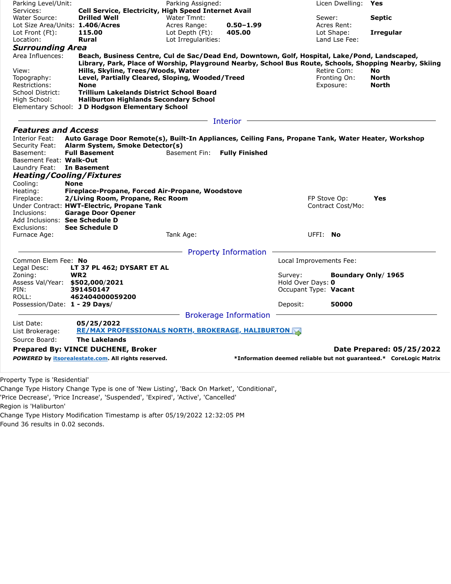| Parking Level/Unit:              |                                                                                                        | Parking Assigned:   |                              |                         | Licen Dwelling: Yes |                                                                    |
|----------------------------------|--------------------------------------------------------------------------------------------------------|---------------------|------------------------------|-------------------------|---------------------|--------------------------------------------------------------------|
| Services:                        | <b>Cell Service, Electricity, High Speed Internet Avail</b>                                            |                     |                              |                         |                     |                                                                    |
| Water Source:                    | <b>Drilled Well</b>                                                                                    | Water Tmnt:         |                              |                         | Sewer:              | <b>Septic</b>                                                      |
| Lot Size Area/Units: 1.406/Acres |                                                                                                        | Acres Range:        | $0.50 - 1.99$                |                         | Acres Rent:         |                                                                    |
| Lot Front (Ft):                  | 115.00                                                                                                 | Lot Depth (Ft):     | 405.00                       |                         | Lot Shape:          | <b>Irregular</b>                                                   |
| Location:                        | <b>Rural</b>                                                                                           | Lot Irregularities: |                              |                         | Land Lse Fee:       |                                                                    |
| <b>Surrounding Area</b>          |                                                                                                        |                     |                              |                         |                     |                                                                    |
| Area Influences:                 | Beach, Business Centre, Cul de Sac/Dead End, Downtown, Golf, Hospital, Lake/Pond, Landscaped,          |                     |                              |                         |                     |                                                                    |
|                                  | Library, Park, Place of Worship, Playground Nearby, School Bus Route, Schools, Shopping Nearby, Skiing |                     |                              |                         |                     |                                                                    |
| View:                            | Hills, Skyline, Trees/Woods, Water                                                                     |                     |                              |                         | Retire Com:         | <b>No</b>                                                          |
| Topography:                      | Level, Partially Cleared, Sloping, Wooded/Treed                                                        |                     |                              |                         | Fronting On:        | <b>North</b>                                                       |
| Restrictions:                    | <b>None</b>                                                                                            |                     |                              |                         | Exposure:           | <b>North</b>                                                       |
| School District:                 | <b>Trillium Lakelands District School Board</b>                                                        |                     |                              |                         |                     |                                                                    |
| High School:                     | <b>Haliburton Highlands Secondary School</b>                                                           |                     |                              |                         |                     |                                                                    |
|                                  | Elementary School: J D Hodgson Elementary School                                                       |                     |                              |                         |                     |                                                                    |
|                                  |                                                                                                        |                     | Interior                     |                         |                     |                                                                    |
|                                  |                                                                                                        |                     |                              |                         |                     |                                                                    |
| <b>Features and Access</b>       |                                                                                                        |                     |                              |                         |                     |                                                                    |
| Interior Feat:                   | Auto Garage Door Remote(s), Built-In Appliances, Ceiling Fans, Propane Tank, Water Heater, Workshop    |                     |                              |                         |                     |                                                                    |
| Security Feat:                   | Alarm System, Smoke Detector(s)                                                                        |                     |                              |                         |                     |                                                                    |
| Basement:                        | <b>Full Basement</b>                                                                                   | Basement Fin:       | <b>Fully Finished</b>        |                         |                     |                                                                    |
| Basement Feat: Walk-Out          |                                                                                                        |                     |                              |                         |                     |                                                                    |
| Laundry Feat: In Basement        |                                                                                                        |                     |                              |                         |                     |                                                                    |
| <b>Heating/Cooling/Fixtures</b>  |                                                                                                        |                     |                              |                         |                     |                                                                    |
| Cooling:<br><b>None</b>          |                                                                                                        |                     |                              |                         |                     |                                                                    |
| Heating:                         | Fireplace-Propane, Forced Air-Propane, Woodstove                                                       |                     |                              |                         |                     |                                                                    |
| Fireplace:                       | 2/Living Room, Propane, Rec Room                                                                       |                     |                              |                         | FP Stove Op:        | Yes                                                                |
|                                  | Under Contract: HWT-Electric, Propane Tank                                                             |                     |                              |                         | Contract Cost/Mo:   |                                                                    |
| Inclusions:                      | <b>Garage Door Opener</b>                                                                              |                     |                              |                         |                     |                                                                    |
| Add Inclusions: See Schedule D   |                                                                                                        |                     |                              |                         |                     |                                                                    |
| Exclusions:                      | <b>See Schedule D</b>                                                                                  |                     |                              |                         |                     |                                                                    |
| Furnace Age:                     |                                                                                                        | Tank Age:           |                              | UFFI: No                |                     |                                                                    |
|                                  |                                                                                                        |                     |                              |                         |                     |                                                                    |
|                                  |                                                                                                        |                     | <b>Property Information</b>  |                         |                     |                                                                    |
| Common Elem Fee: No              |                                                                                                        |                     |                              | Local Improvements Fee: |                     |                                                                    |
| Legal Desc:                      | LT 37 PL 462; DYSART ET AL                                                                             |                     |                              |                         |                     |                                                                    |
| Zoning:                          | WR <sub>2</sub>                                                                                        |                     |                              | Survey:                 |                     | Boundary Only/ 1965                                                |
| Assess Val/Year: \$502,000/2021  |                                                                                                        |                     |                              | Hold Over Days: 0       |                     |                                                                    |
| PIN:                             | 391450147                                                                                              |                     |                              | Occupant Type: Vacant   |                     |                                                                    |
| ROLL:                            | 462404000059200                                                                                        |                     |                              |                         |                     |                                                                    |
| Possession/Date: 1 - 29 Days/    |                                                                                                        |                     |                              | Deposit:                | 50000               |                                                                    |
|                                  |                                                                                                        |                     | <b>Brokerage Information</b> |                         |                     |                                                                    |
| List Date:                       | 05/25/2022                                                                                             |                     |                              |                         |                     |                                                                    |
| List Brokerage:                  | <b>RE/MAX PROFESSIONALS NORTH, BROKERAGE, HALIBURTON AS</b>                                            |                     |                              |                         |                     |                                                                    |
| Source Board:                    | <b>The Lakelands</b>                                                                                   |                     |                              |                         |                     |                                                                    |
|                                  |                                                                                                        |                     |                              |                         |                     |                                                                    |
|                                  | <b>Prepared By: VINCE DUCHENE, Broker</b>                                                              |                     |                              |                         |                     | Date Prepared: 05/25/2022                                          |
|                                  | POWERED by itsorealestate.com. All rights reserved.                                                    |                     |                              |                         |                     | *Information deemed reliable but not quaranteed.* CoreLogic Matrix |

Property Type is 'Residential'

Change Type History Change Type is one of 'New Listing', 'Back On Market', 'Conditional',

'Price Decrease', 'Price Increase', 'Suspended', 'Expired', 'Active', 'Cancelled'

Region is 'Haliburton'

Change Type History Modification Timestamp is after 05/19/2022 12:32:05 PM

Found 36 results in 0.02 seconds.